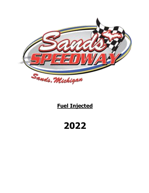

# **Fuel Injected**

**2022**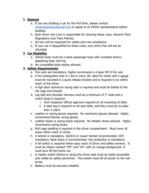# **1. General**

- a. If you are building a car for the first time, please contact [sandsspeedway@gmail.com](mailto:sandsspeedway@gmail.com) to speak to an MCDA representative before building.
- b. Each driver and crew is responsible for knowing these rules, General Track Regulations and Track Policies.
- c. All cars will be inspected for safety and rule compliance.
- d. If your car is disqualified by these rules, your entry free will not be refunded.

# **2. Car Eligibility**

- a. Vehicle body must be a stock passenger-type with complete factory appearing body and top.
- b. No convertible-style bodies allowed.

## **3. Safety Requirements**

- a. Fire suits are mandatory. Highly recommend a 2-layer SFI-5 fire suit.
- b. A fire extinguisher that is 2 lbs or more, BC rated for metal with a gauge must be mounted in a quick release bracket and is required to be within reach of the driver.
- c. A high back aluminum racing seat is required and must be bolted to the roll cage and bracket.
- d. Lap belt and shoulder harness must be a minimum of 3" wide and a crotch strap is required.
	- i. Tech Inspector official approval required on all mounting of belts.
	- ii. A date tag is required on all seat belts, and they must be no older than 5 years.
- e. Leather or racing gloves required. No mechanics gloves allowed. Highly recommend Nomax racing gloves.
- f. Leather boots or racing boots required. No athletic shoes allowed. Highly recommend racing shoes.
- g. Roll cage padding is required in the driver compartment. Must cover all areas within reach of driver.
- h. A helmet is mandatory. SA2010 or newer helmet recommended. DOT mandatory. Neck brace is recommended. Eye protection is mandatory.
- i. A kill switch is required within easy reach of driver and safety workers. It must be clearly marked "Off" and "On" with an orange background. It must shut off the entire car.
- j. A master switch behind or along the driver seat must be easily accessible and visible by safety personnel. This switch must kill all power to the fuel pump.
- k. Battery must be securely installed.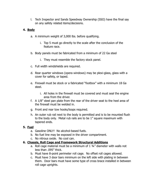l. Tech Inspector and Sands Speedway Ownership (SSO) have the final say on any safety related items/decisions.

#### **4. Body**

- a. A minimum weight of 3,000 lbs. before qualifying.
	- i. Top 5 must go directly to the scale after the conclusion of the feature race.
- b. Body panels must be fabricated from a minimum of 22 Ga steel
	- i. They must resemble the factory stock panel.
- c. Full width windshields are required.
- d. Rear quarter windows (opera windows) may be plexi-glass, glass with a cover for safety, or taped.
- e. Firewall must be stock or a fabricated "footbox" with a minimum 18 Ga steel.
	- i. All holes in the firewall must be covered and must seal the engine area from the driver.
- f. A 1/8" steel pan plate from the rear of the driver seat to the heel area of the firewall must be welded in.
- g. Front and rear tow hooks/loops required.
- h. An outer rub rail next to the body is permitted and is to be mounted flush to the body only. Metal rub rails are to be 1" square maximum with tapered ends.

#### **5. Fuel**

- a. Gasoline ONLY! No alcohol-based fuels.
- b. No fuel line may be exposed in the driver compartment.
- c. No nitrous oxide. No cool can.

#### **6. Chassis, Roll Cage and Framework Structural Additions**

- a. Roll cage material must be a minimum of  $1\frac{3}{4}$  diameter with walls not less than .095" thick.
- b. Must have 8-point perimeter roll cage. No offset roll cages allowed.
- c. Must have 3 door bars minimum on the left side with plating in between them. Door bars must have some type of cross brace installed in between roll cage uprights.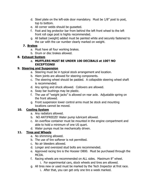- d. Steel plate on the left-side door mandatory. Must be 1/8" post to post, top to bottom.
- e. All corner welds should be gusseted.
- f. Foot and leg protector bar from behind the left front wheel to the left front roll cage post is highly recommended.
- g. All ballast (weight) added must be painted white and securely fastened to the car with the car number clearly marked on weight.

#### **7. Brakes**

- a. Must have all four working brakes.
- b. Drum or disc brakes allowed.

## **8. Exhaust System**

#### a. **MUFFLERS MUST BE UNDER 100 DECIBALS at 100'! NO EXCEPTIONS!**

#### **9. Steering and Suspension**

- a. Steering must be in typical stock arrangement and location.
- b. Hiem joints are allowed for steering components.
- c. The steering wheel should be padded. A collapsible steering wheel shaft is recommended.
- d. Any spring and shock allowed. Coilovers are allowed.
- e. Sway bar bushings may be plastic.
- f. The use of "weight jacks" is allowed on rear axle. Adjustable spring on the front allowed.
- g. Front suspension lower control arms must be stock and mounting locations cannot be moved.

## **10. Cooling System**

- a. Any radiators allowed.
- b. NO ANTIFREEZE! Water pump lubricant allowed.
- c. An overflow container must be mounted in the engine compartment and able to hold a minimum of one US quart.
- d. Water pumps must be mechanically driven.

## **11. Tires and Wheels**

- a. No shimming allowed.
- b. The use of tire softener is not permitted.
- c. No air bleeders allowed.
- d. Longer and oversized stud bolts are recommended.
- e. Approved racing tire is the Hoosier D800. Must be purchased through the MCDA.
- f. Racing wheels are recommended on ALL sides. Maximum 8" wheel.
	- i. For experimental cars, stock wheels and tires are allowed.
- g. All tires new or used must be marked by the Tech Inspector at first race.
	- i. After that, you can get only one tire a week marked.